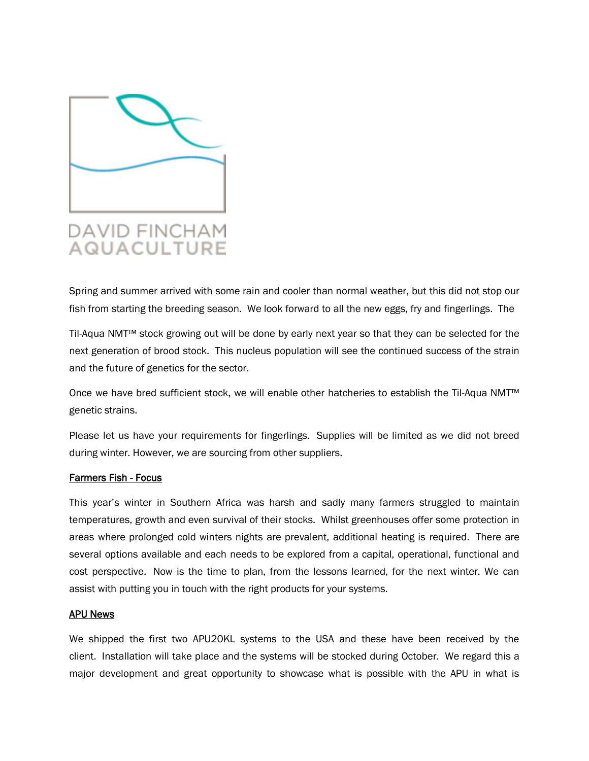

# **DAVID FINCHAM AQUACULTURE**

Spring and summer arrived with some rain and cooler than normal weather, but this did not stop our fish from starting the breeding season. We look forward to all the new eggs, fry and fingerlings. The

Til-Aqua NMT™ stock growing out will be done by early next year so that they can be selected for the next generation of brood stock. This nucleus population will see the continued success of the strain and the future of genetics for the sector.

Once we have bred sufficient stock, we will enable other hatcheries to establish the Til-Aqua NMT™ genetic strains.

Please let us have your requirements for fingerlings. Supplies will be limited as we did not breed during winter. However, we are sourcing from other suppliers.

# **Farmers Fish - Focus**

This year's winter in Southern Africa was harsh and sadly many farmers struggled to maintain temperatures, growth and even survival of their stocks. Whilst greenhouses offer some protection in areas where prolonged cold winters nights are prevalent, additional heating is required. There are several options available and each needs to be explored from a capital, operational, functional and cost perspective. Now is the time to plan, from the lessons learned, for the next winter. We can assist with putting you in touch with the right products for your systems.

# **APU News**

We shipped the first two APU20KL systems to the USA and these have been received by the client. Installation will take place and the systems will be stocked during October. We regard this a major development and great opportunity to showcase what is possible with the APU in what is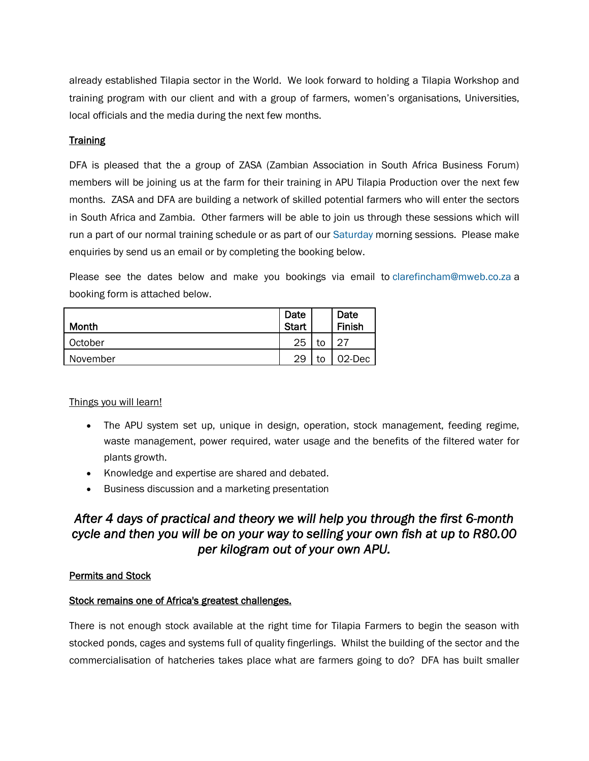already established Tilapia sector in the World. We look forward to holding a Tilapia Workshop and training program with our client and with a group of farmers, women's organisations, Universities, local officials and the media during the next few months.

# **Training**

DFA is pleased that the a group of ZASA (Zambian Association in South Africa Business Forum) members will be joining us at the farm for their training in APU Tilapia Production over the next few months. ZASA and DFA are building a network of skilled potential farmers who will enter the sectors in South Africa and Zambia. Other farmers will be able to join us through these sessions which will run a part of our normal training schedule or as part of our Saturday morning sessions. Please make enquiries by send us an email or by completing the booking below.

Please see the dates below and make you bookings via email to [clarefincham@mweb.co.za](mailto:clarefincham@mweb.co.za) a booking form is attached below.

| Month    | Date<br><b>Start</b> |    | Date<br><b>Finish</b> |
|----------|----------------------|----|-----------------------|
| October  | 25                   |    | ົາ                    |
| November | 29                   | to | 02-Dec                |

# Things you will learn!

- The APU system set up, unique in design, operation, stock management, feeding regime, waste management, power required, water usage and the benefits of the filtered water for plants growth.
- Knowledge and expertise are shared and debated.
- Business discussion and a marketing presentation

# *After 4 days of practical and theory we will help you through the first 6-month cycle and then you will be on your way to selling your own fish at up to R80.00 per kilogram out of your own APU.*

# **Permits and Stock**

# **Stock remains one of Africa's greatest challenges.**

There is not enough stock available at the right time for Tilapia Farmers to begin the season with stocked ponds, cages and systems full of quality fingerlings. Whilst the building of the sector and the commercialisation of hatcheries takes place what are farmers going to do? DFA has built smaller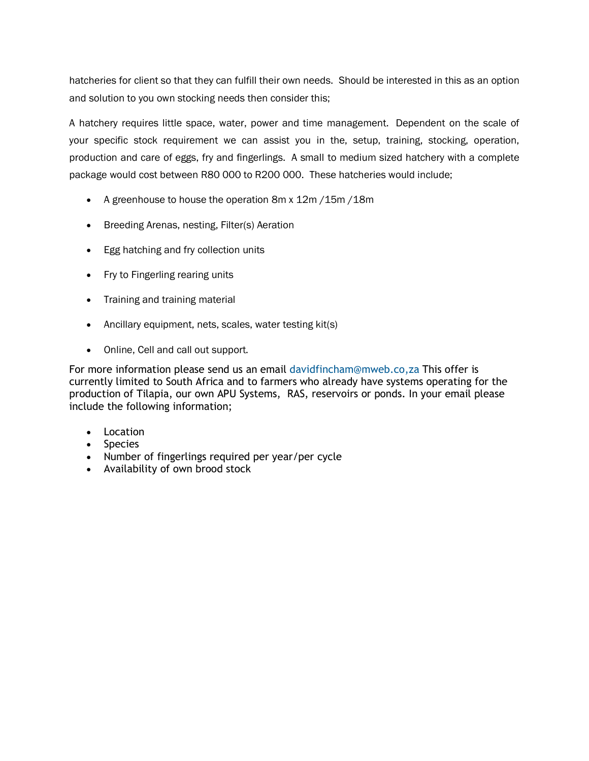hatcheries for client so that they can fulfill their own needs. Should be interested in this as an option and solution to you own stocking needs then consider this;

A hatchery requires little space, water, power and time management. Dependent on the scale of your specific stock requirement we can assist you in the, setup, training, stocking, operation, production and care of eggs, fry and fingerlings. A small to medium sized hatchery with a complete package would cost between R80 000 to R200 000. These hatcheries would include;

- A greenhouse to house the operation 8m x 12m / 15m / 18m
- Breeding Arenas, nesting, Filter(s) Aeration
- **Egg hatching and fry collection units**
- Fry to Fingerling rearing units
- Training and training material
- Ancillary equipment, nets, scales, water testing kit(s)
- Online, Cell and call out support.

For more information please send us an email [davidfincham@mweb.co,za](mailto:davidfincham@mweb.co,za) This offer is currently limited to South Africa and to farmers who already have systems operating for the production of Tilapia, our own APU Systems, RAS, reservoirs or ponds. In your email please include the following information;

- $\bullet$  Location
- Species
- Number of fingerlings required per year/per cycle
- Availability of own brood stock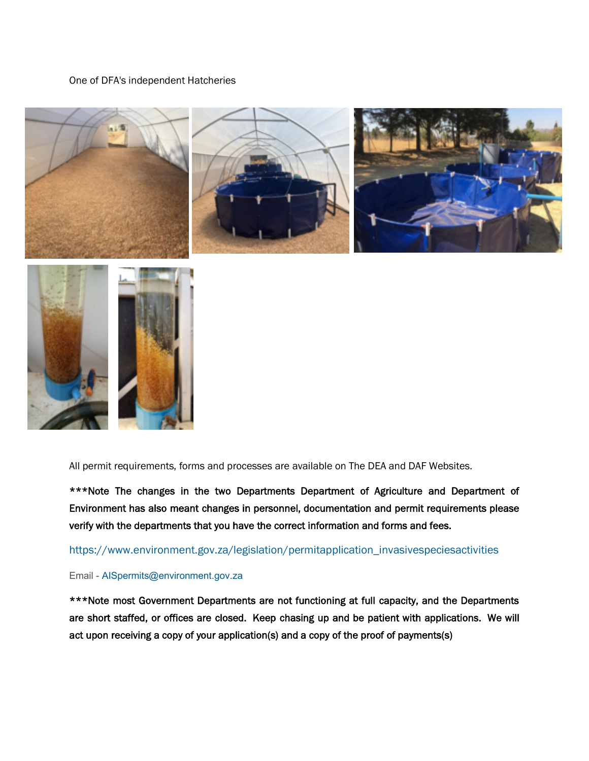#### One of DFA's independent Hatcheries



All permit requirements, forms and processes are available on The DEA and DAF Websites.

**\*\*\*Note The changes in the two Departments Department of Agriculture and Department of Environment has also meant changes in personnel, documentation and permit requirements please verify with the departments that you have the correct information and forms and fees.**

# [https://www.environment.gov.za/legislation/permitapplication\\_invasivespeciesactivities](https://www.environment.gov.za/legislation/permitapplication_invasivespeciesactivities)

# Email - [AISpermits@environment.gov.za](mailto:AISpermits@environment.gov.za)

**\*\*\*Note most Government Departments are not functioning at full capacity, and the Departments are short staffed, or offices are closed. Keep chasing up and be patient with applications. We will act upon receiving a copy of your application(s) and a copy of the proof of payments(s)**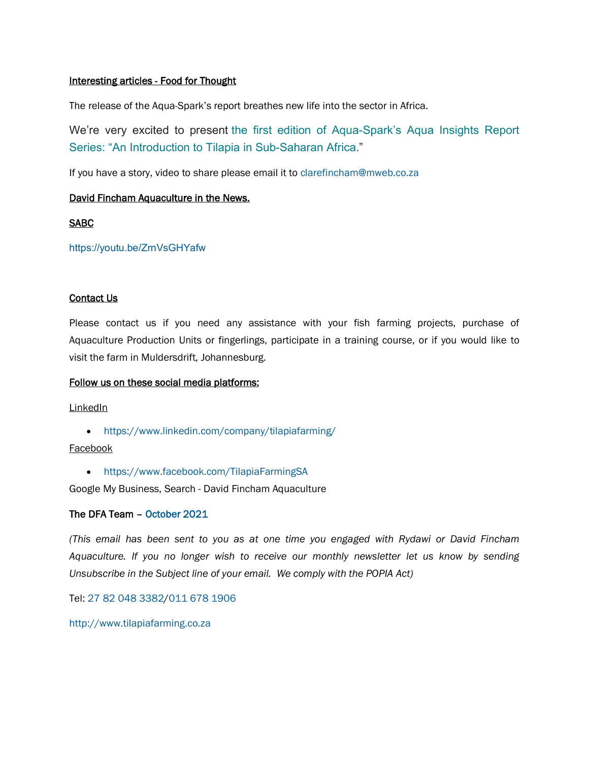# **Interesting articles - Food for Thought**

The release of the Aqua-Spark's report breathes new life into the sector in Africa.

We're very excited to present the first edition of Aqua-Spark's Aqua Insights Report Series: "An Introduction to Tilapia in Sub-Saharan Africa."

If you have a story, video to share please email it to [clarefincham@mweb.co.za](mailto:clarefincham@mweb.co.za)

# **David Fincham Aquaculture in the News.**

**SABC**

<https://youtu.be/ZrnVsGHYafw>

# **Contact Us**

Please contact us if you need any assistance with your fish farming projects, purchase of Aquaculture Production Units or fingerlings, participate in a training course, or if you would like to visit the farm in Muldersdrift, Johannesburg.

# **Follow us on these social media platforms:**

**LinkedIn** 

<https://www.linkedin.com/company/tilapiafarming/>

# Facebook

<https://www.facebook.com/TilapiaFarmingSA>

Google My Business, Search - David Fincham Aquaculture

# **The DFA Team – October 2021**

*(This email has been sent to you as at one time you engaged with Rydawi or David Fincham Aquaculture. If you no longer wish to receive our monthly newsletter let us know by sending Unsubscribe in the Subject line of your email. We comply with the POPIA Act)*

Tel: 27 82 048 3382/011 678 1906

<http://www.tilapiafarming.co.za>